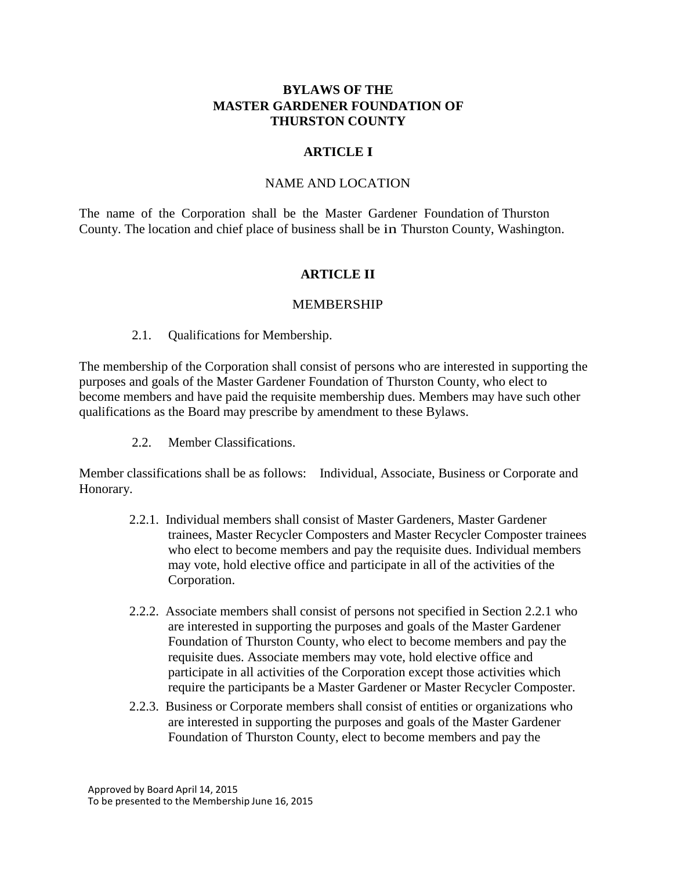#### **BYLAWS OF THE MASTER GARDENER FOUNDATION OF THURSTON COUNTY**

#### **ARTICLE I**

#### NAME AND LOCATION

The name of the Corporation shall be the Master Gardener Foundation of Thurston County. The location and chief place of business shall be in Thurston County, Washington.

### **ARTICLE II**

#### MEMBERSHIP

2.1. Qualifications for Membership.

The membership of the Corporation shall consist of persons who are interested in supporting the purposes and goals of the Master Gardener Foundation of Thurston County, who elect to become members and have paid the requisite membership dues. Members may have such other qualifications as the Board may prescribe by amendment to these Bylaws.

2.2. Member Classifications.

Member classifications shall be as follows: Individual, Associate, Business or Corporate and Honorary.

- 2.2.1. Individual members shall consist of Master Gardeners, Master Gardener trainees, Master Recycler Composters and Master Recycler Composter trainees who elect to become members and pay the requisite dues. Individual members may vote, hold elective office and participate in all of the activities of the Corporation.
- 2.2.2. Associate members shall consist of persons not specified in Section 2.2.1 who are interested in supporting the purposes and goals of the Master Gardener Foundation of Thurston County, who elect to become members and pay the requisite dues. Associate members may vote, hold elective office and participate in all activities of the Corporation except those activities which require the participants be a Master Gardener or Master Recycler Composter.
- 2.2.3. Business or Corporate members shall consist of entities or organizations who are interested in supporting the purposes and goals of the Master Gardener Foundation of Thurston County, elect to become members and pay the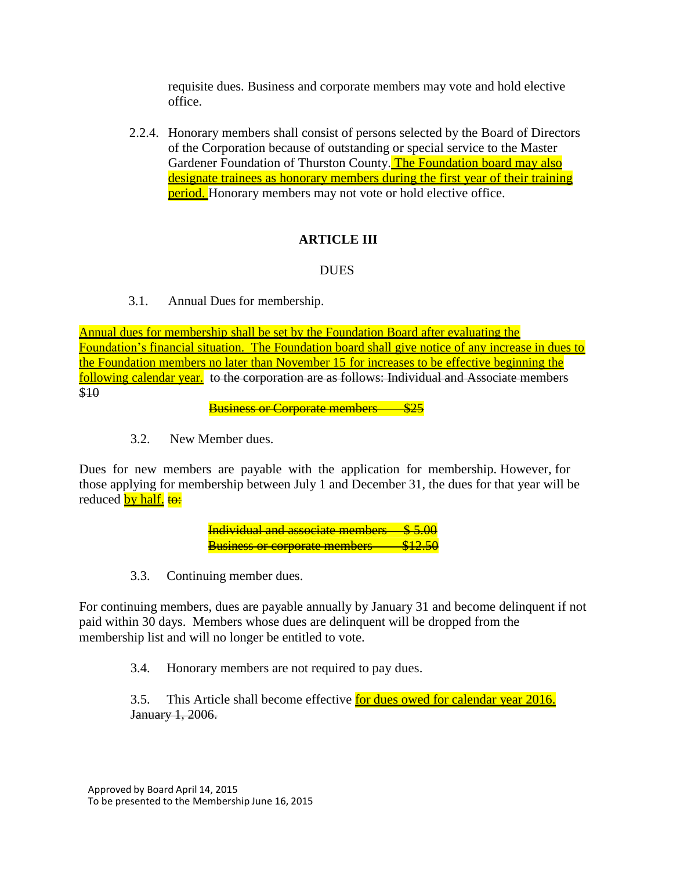requisite dues. Business and corporate members may vote and hold elective office.

2.2.4. Honorary members shall consist of persons selected by the Board of Directors of the Corporation because of outstanding or special service to the Master Gardener Foundation of Thurston County. The Foundation board may also designate trainees as honorary members during the first year of their training **period.** Honorary members may not vote or hold elective office.

# **ARTICLE III**

## DUES

3.1. Annual Dues for membership.

Annual dues for membership shall be set by the Foundation Board after evaluating the Foundation's financial situation. The Foundation board shall give notice of any increase in dues to the Foundation members no later than November 15 for increases to be effective beginning the following calendar year. to the corporation are as follows: Individual and Associate members \$10

**Business or Corporate members** 

3.2. New Member dues.

Dues for new members are payable with the application for membership. However, for those applying for membership between July 1 and December 31, the dues for that year will be reduced by half. to:

> **Individual and associate members Business or corporate members**

3.3. Continuing member dues.

For continuing members, dues are payable annually by January 31 and become delinquent if not paid within 30 days. Members whose dues are delinquent will be dropped from the membership list and will no longer be entitled to vote.

3.4. Honorary members are not required to pay dues.

3.5. This Article shall become effective for dues owed for calendar year 2016. January 1, 2006.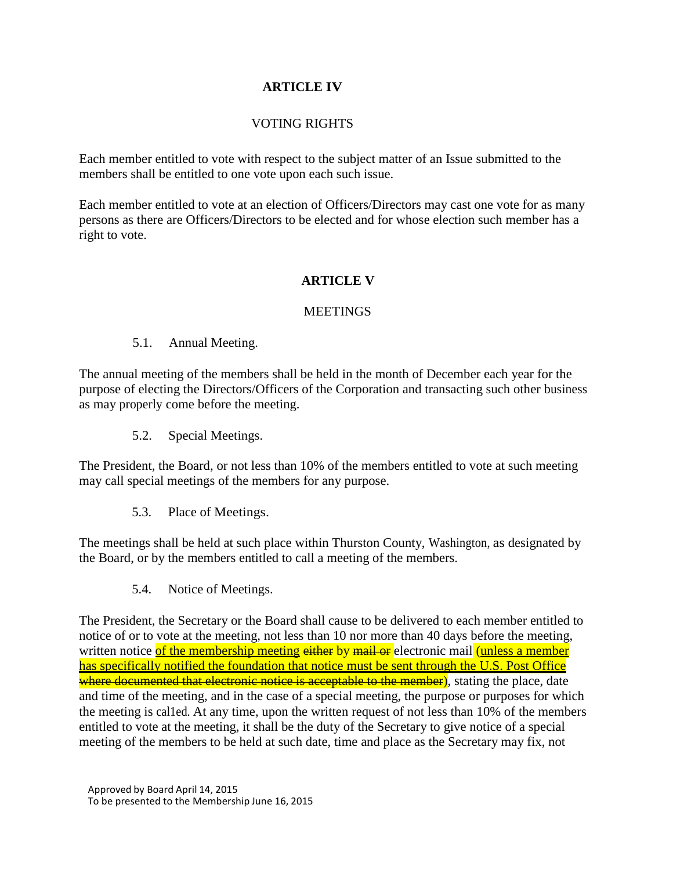# **ARTICLE IV**

# VOTING RIGHTS

Each member entitled to vote with respect to the subject matter of an Issue submitted to the members shall be entitled to one vote upon each such issue.

Each member entitled to vote at an election of Officers/Directors may cast one vote for as many persons as there are Officers/Directors to be elected and for whose election such member has a right to vote.

## **ARTICLE V**

### **MEETINGS**

### 5.1. Annual Meeting.

The annual meeting of the members shall be held in the month of December each year for the purpose of electing the Directors/Officers of the Corporation and transacting such other business as may properly come before the meeting.

5.2. Special Meetings.

The President, the Board, or not less than 10% of the members entitled to vote at such meeting may call special meetings of the members for any purpose.

5.3. Place of Meetings.

The meetings shall be held at such place within Thurston County, Washington, as designated by the Board, or by the members entitled to call a meeting of the members.

5.4. Notice of Meetings.

The President, the Secretary or the Board shall cause to be delivered to each member entitled to notice of or to vote at the meeting, not less than 10 nor more than 40 days before the meeting, written notice of the membership meeting either by mail or electronic mail (unless a member has specifically notified the foundation that notice must be sent through the U.S. Post Office where documented that electronic notice is acceptable to the member), stating the place, date and time of the meeting, and in the case of a special meeting, the purpose or purposes for which the meeting is cal1ed. At any time, upon the written request of not less than 10% of the members entitled to vote at the meeting, it shall be the duty of the Secretary to give notice of a special meeting of the members to be held at such date, time and place as the Secretary may fix, not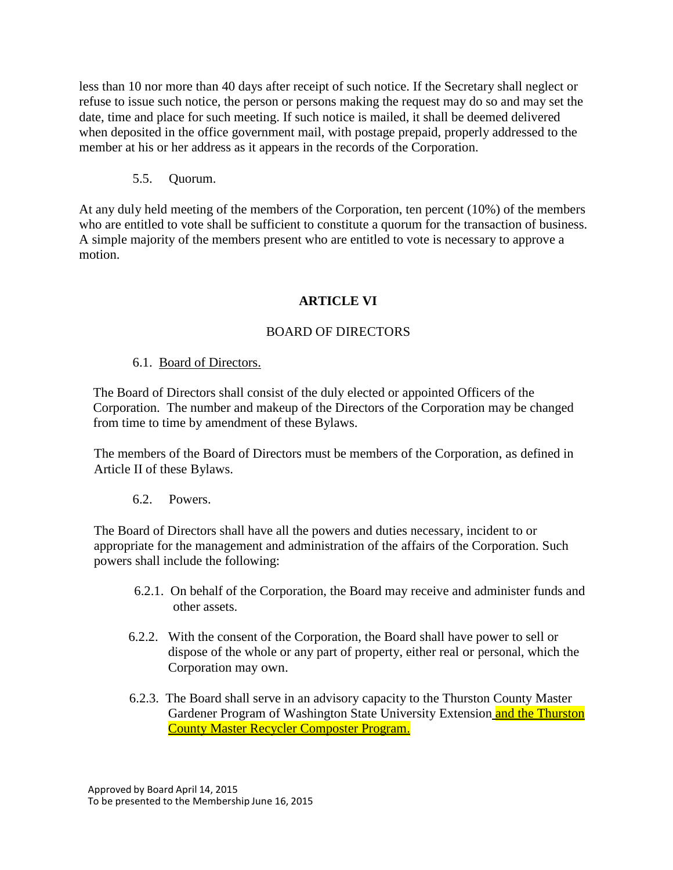less than 10 nor more than 40 days after receipt of such notice. If the Secretary shall neglect or refuse to issue such notice, the person or persons making the request may do so and may set the date, time and place for such meeting. If such notice is mailed, it shall be deemed delivered when deposited in the office government mail, with postage prepaid, properly addressed to the member at his or her address as it appears in the records of the Corporation.

# 5.5. Quorum.

At any duly held meeting of the members of the Corporation, ten percent (10%) of the members who are entitled to vote shall be sufficient to constitute a quorum for the transaction of business. A simple majority of the members present who are entitled to vote is necessary to approve a motion.

# **ARTICLE VI**

## BOARD OF DIRECTORS

## 6.1. Board of Directors.

The Board of Directors shall consist of the duly elected or appointed Officers of the Corporation. The number and makeup of the Directors of the Corporation may be changed from time to time by amendment of these Bylaws.

The members of the Board of Directors must be members of the Corporation, as defined in Article II of these Bylaws.

## 6.2. Powers.

The Board of Directors shall have all the powers and duties necessary, incident to or appropriate for the management and administration of the affairs of the Corporation. Such powers shall include the following:

- 6.2.1. On behalf of the Corporation, the Board may receive and administer funds and other assets.
- 6.2.2. With the consent of the Corporation, the Board shall have power to sell or dispose of the whole or any part of property, either real or personal, which the Corporation may own.
- 6.2.3. The Board shall serve in an advisory capacity to the Thurston County Master Gardener Program of Washington State University Extension and the Thurston County Master Recycler Composter Program.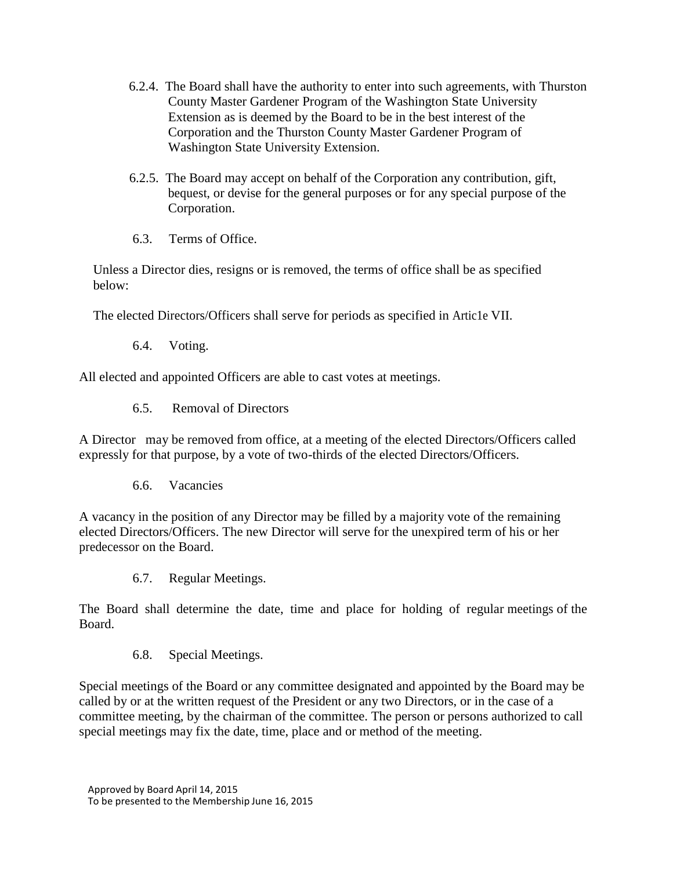- 6.2.4. The Board shall have the authority to enter into such agreements, with Thurston County Master Gardener Program of the Washington State University Extension as is deemed by the Board to be in the best interest of the Corporation and the Thurston County Master Gardener Program of Washington State University Extension.
- 6.2.5. The Board may accept on behalf of the Corporation any contribution, gift, bequest, or devise for the general purposes or for any special purpose of the Corporation.
- 6.3. Terms of Office.

Unless a Director dies, resigns or is removed, the terms of office shall be as specified below:

The elected Directors/Officers shall serve for periods as specified in Artic1e VII.

6.4. Voting.

All elected and appointed Officers are able to cast votes at meetings.

6.5. Removal of Directors

A Director may be removed from office, at a meeting of the elected Directors/Officers called expressly for that purpose, by a vote of two-thirds of the elected Directors/Officers.

6.6. Vacancies

A vacancy in the position of any Director may be filled by a majority vote of the remaining elected Directors/Officers. The new Director will serve for the unexpired term of his or her predecessor on the Board.

6.7. Regular Meetings.

The Board shall determine the date, time and place for holding of regular meetings of the Board.

6.8. Special Meetings.

Special meetings of the Board or any committee designated and appointed by the Board may be called by or at the written request of the President or any two Directors, or in the case of a committee meeting, by the chairman of the committee. The person or persons authorized to call special meetings may fix the date, time, place and or method of the meeting.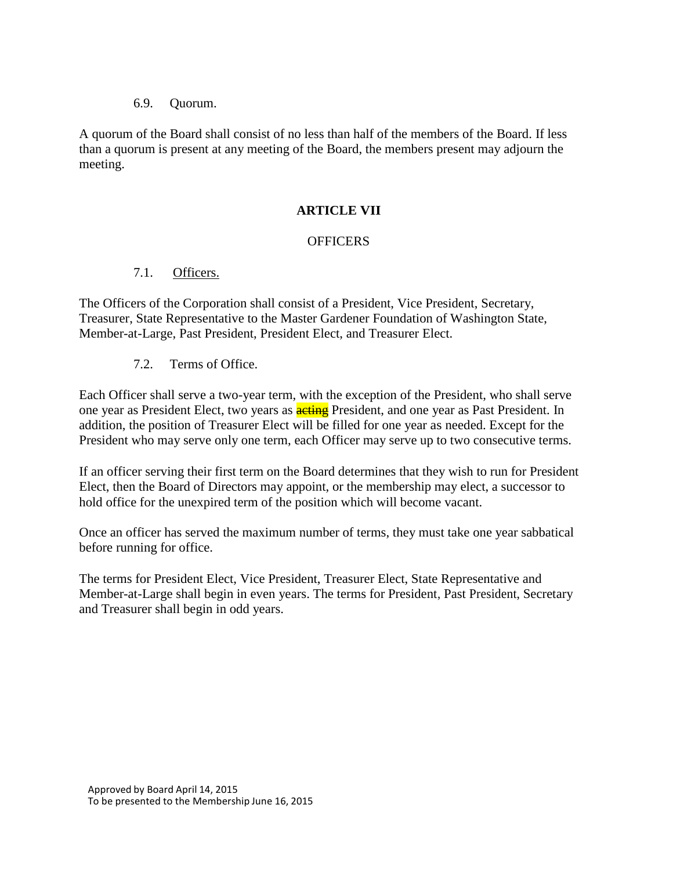#### 6.9. Quorum.

A quorum of the Board shall consist of no less than half of the members of the Board. If less than a quorum is present at any meeting of the Board, the members present may adjourn the meeting.

### **ARTICLE VII**

### **OFFICERS**

### 7.1. Officers.

The Officers of the Corporation shall consist of a President, Vice President, Secretary, Treasurer, State Representative to the Master Gardener Foundation of Washington State, Member-at-Large, Past President, President Elect, and Treasurer Elect.

7.2. Terms of Office.

Each Officer shall serve a two-year term, with the exception of the President, who shall serve one year as President Elect, two years as **acting** President, and one year as Past President. In addition, the position of Treasurer Elect will be filled for one year as needed. Except for the President who may serve only one term, each Officer may serve up to two consecutive terms.

If an officer serving their first term on the Board determines that they wish to run for President Elect, then the Board of Directors may appoint, or the membership may elect, a successor to hold office for the unexpired term of the position which will become vacant.

Once an officer has served the maximum number of terms, they must take one year sabbatical before running for office.

The terms for President Elect, Vice President, Treasurer Elect, State Representative and Member-at-Large shall begin in even years. The terms for President, Past President, Secretary and Treasurer shall begin in odd years.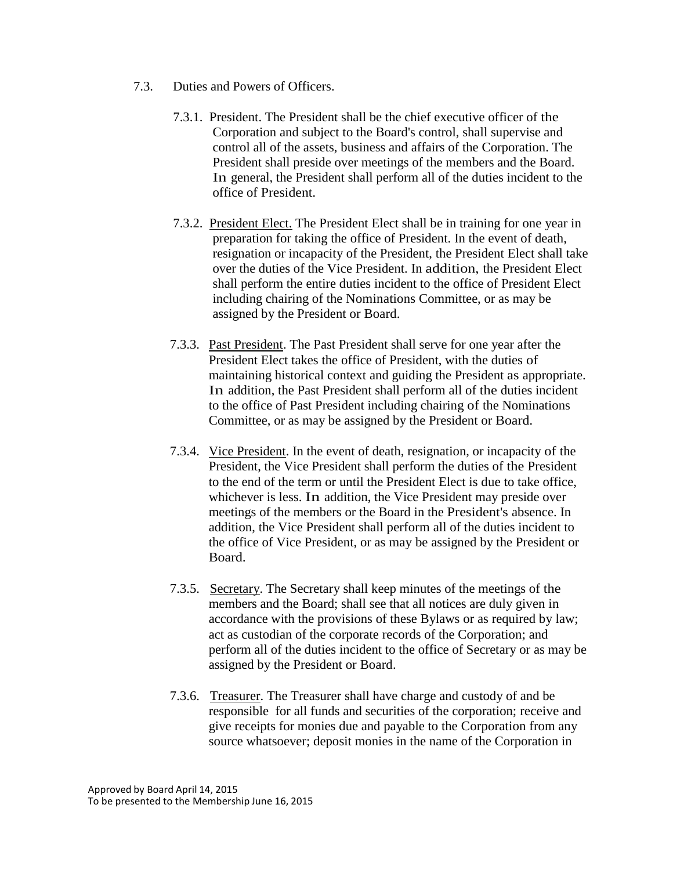- 7.3. Duties and Powers of Officers.
	- 7.3.1. President. The President shall be the chief executive officer of the Corporation and subject to the Board's control, shall supervise and control all of the assets, business and affairs of the Corporation. The President shall preside over meetings of the members and the Board. In general, the President shall perform all of the duties incident to the office of President.
	- 7.3.2. President Elect. The President Elect shall be in training for one year in preparation for taking the office of President. In the event of death, resignation or incapacity of the President, the President Elect shall take over the duties of the Vice President. In addition, the President Elect shall perform the entire duties incident to the office of President Elect including chairing of the Nominations Committee, or as may be assigned by the President or Board.
	- 7.3.3. Past President. The Past President shall serve for one year after the President Elect takes the office of President, with the duties of maintaining historical context and guiding the President as appropriate. In addition, the Past President shall perform all of the duties incident to the office of Past President including chairing of the Nominations Committee, or as may be assigned by the President or Board.
	- 7.3.4. Vice President. In the event of death, resignation, or incapacity of the President, the Vice President shall perform the duties of the President to the end of the term or until the President Elect is due to take office, whichever is less. In addition, the Vice President may preside over meetings of the members or the Board in the President's absence. In addition, the Vice President shall perform all of the duties incident to the office of Vice President, or as may be assigned by the President or Board.
	- 7.3.5. Secretary. The Secretary shall keep minutes of the meetings of the members and the Board; shall see that all notices are duly given in accordance with the provisions of these Bylaws or as required by law; act as custodian of the corporate records of the Corporation; and perform all of the duties incident to the office of Secretary or as may be assigned by the President or Board.
	- 7.3.6. Treasurer. The Treasurer shall have charge and custody of and be responsible for all funds and securities of the corporation; receive and give receipts for monies due and payable to the Corporation from any source whatsoever; deposit monies in the name of the Corporation in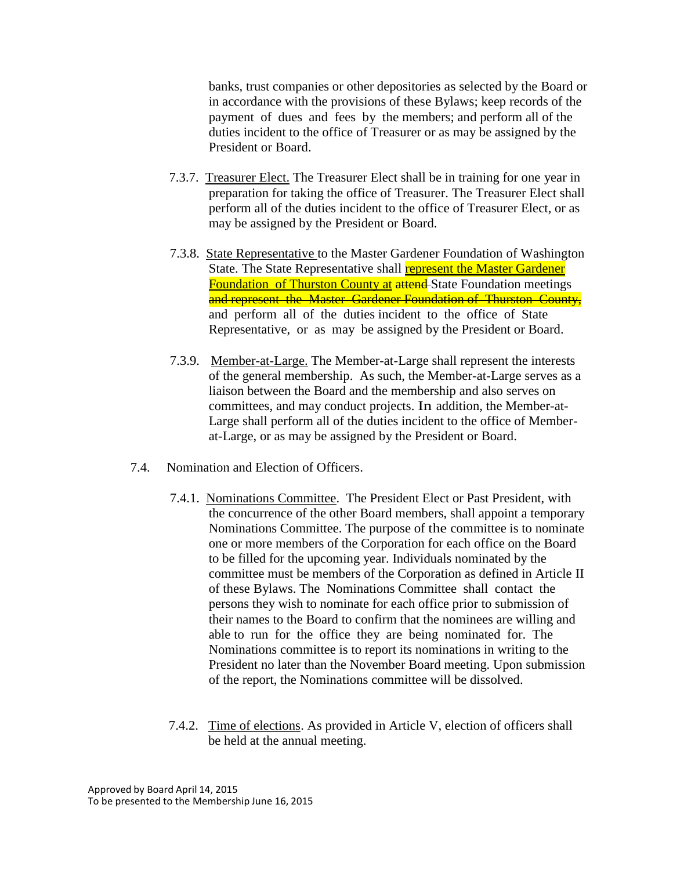banks, trust companies or other depositories as selected by the Board or in accordance with the provisions of these Bylaws; keep records of the payment of dues and fees by the members; and perform all of the duties incident to the office of Treasurer or as may be assigned by the President or Board.

- 7.3.7. Treasurer Elect. The Treasurer Elect shall be in training for one year in preparation for taking the office of Treasurer. The Treasurer Elect shall perform all of the duties incident to the office of Treasurer Elect, or as may be assigned by the President or Board.
- 7.3.8. State Representative to the Master Gardener Foundation of Washington State. The State Representative shall **represent the Master Gardener Foundation of Thurston County at attend-**State Foundation meetings and represent the Master Gardener Foundation of Thurston County, and perform all of the duties incident to the office of State Representative, or as may be assigned by the President or Board.
- 7.3.9. Member-at-Large. The Member-at-Large shall represent the interests of the general membership. As such, the Member-at-Large serves as a liaison between the Board and the membership and also serves on committees, and may conduct projects. In addition, the Member-at-Large shall perform all of the duties incident to the office of Memberat-Large, or as may be assigned by the President or Board.
- 7.4. Nomination and Election of Officers.
	- 7.4.1. Nominations Committee. The President Elect or Past President, with the concurrence of the other Board members, shall appoint a temporary Nominations Committee. The purpose of the committee is to nominate one or more members of the Corporation for each office on the Board to be filled for the upcoming year. Individuals nominated by the committee must be members of the Corporation as defined in Article II of these Bylaws. The Nominations Committee shall contact the persons they wish to nominate for each office prior to submission of their names to the Board to confirm that the nominees are willing and able to run for the office they are being nominated for. The Nominations committee is to report its nominations in writing to the President no later than the November Board meeting. Upon submission of the report, the Nominations committee will be dissolved.
	- 7.4.2. Time of elections. As provided in Article V, election of officers shall be held at the annual meeting.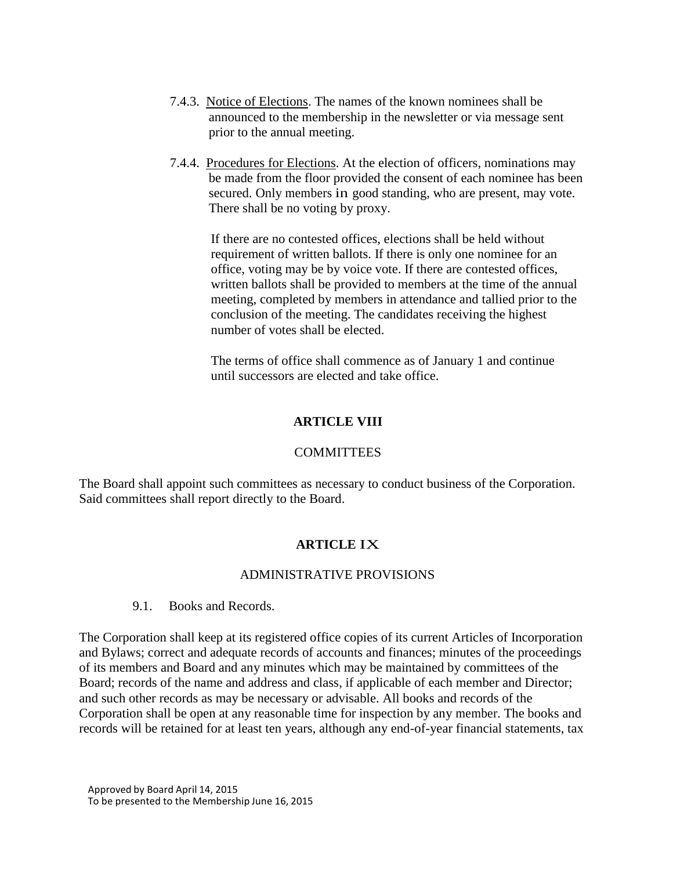- 7.4.3. Notice of Elections. The names of the known nominees shall be announced to the membership in the newsletter or via message sent prior to the annual meeting.
- 7.4.4. Procedures for Elections. At the election of officers, nominations may be made from the floor provided the consent of each nominee has been secured. Only members in good standing, who are present, may vote. There shall be no voting by proxy.

If there are no contested offices, elections shall be held without requirement of written ballots. If there is only one nominee for an office, voting may be by voice vote. If there are contested offices, written ballots shall be provided to members at the time of the annual meeting, completed by members in attendance and tallied prior to the conclusion of the meeting. The candidates receiving the highest number of votes shall be elected.

The terms of office shall commence as of January 1 and continue until successors are elected and take office.

# **ARTICLE VIII**

## **COMMITTEES**

The Board shall appoint such committees as necessary to conduct business of the Corporation. Said committees shall report directly to the Board.

# **ARTICLE** IX

## ADMINISTRATIVE PROVISIONS

#### 9.1. Books and Records.

The Corporation shall keep at its registered office copies of its current Articles of Incorporation and Bylaws; correct and adequate records of accounts and finances; minutes of the proceedings of its members and Board and any minutes which may be maintained by committees of the Board; records of the name and address and class, if applicable of each member and Director; and such other records as may be necessary or advisable. All books and records of the Corporation shall be open at any reasonable time for inspection by any member. The books and records will be retained for at least ten years, although any end-of-year financial statements, tax